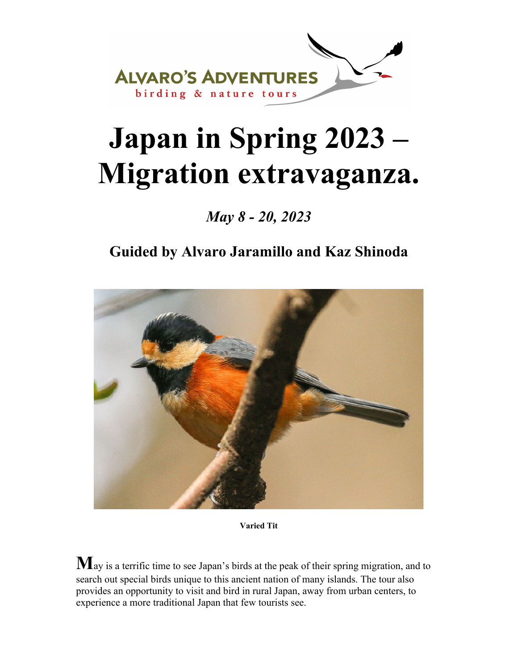

# **Japan in Spring 2023 – Migration extravaganza.**

*May 8 - 20, 2023* 

### **Guided by Alvaro Jaramillo and Kaz Shinoda**



**Varied Tit**

**M**ay is a terrific time to see Japan's birds at the peak of their spring migration, and to search out special birds unique to this ancient nation of many islands. The tour also provides an opportunity to visit and bird in rural Japan, away from urban centers, to experience a more traditional Japan that few tourists see.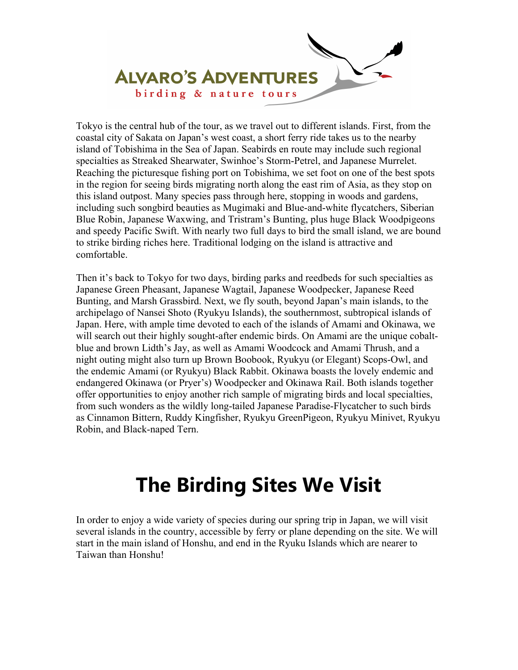

Tokyo is the central hub of the tour, as we travel out to different islands. First, from the coastal city of Sakata on Japan's west coast, a short ferry ride takes us to the nearby island of Tobishima in the Sea of Japan. Seabirds en route may include such regional specialties as Streaked Shearwater, Swinhoe's Storm-Petrel, and Japanese Murrelet. Reaching the picturesque fishing port on Tobishima, we set foot on one of the best spots in the region for seeing birds migrating north along the east rim of Asia, as they stop on this island outpost. Many species pass through here, stopping in woods and gardens, including such songbird beauties as Mugimaki and Blue-and-white flycatchers, Siberian Blue Robin, Japanese Waxwing, and Tristram's Bunting, plus huge Black Woodpigeons and speedy Pacific Swift. With nearly two full days to bird the small island, we are bound to strike birding riches here. Traditional lodging on the island is attractive and comfortable.

Then it's back to Tokyo for two days, birding parks and reedbeds for such specialties as Japanese Green Pheasant, Japanese Wagtail, Japanese Woodpecker, Japanese Reed Bunting, and Marsh Grassbird. Next, we fly south, beyond Japan's main islands, to the archipelago of Nansei Shoto (Ryukyu Islands), the southernmost, subtropical islands of Japan. Here, with ample time devoted to each of the islands of Amami and Okinawa, we will search out their highly sought-after endemic birds. On Amami are the unique cobaltblue and brown Lidth's Jay, as well as Amami Woodcock and Amami Thrush, and a night outing might also turn up Brown Boobook, Ryukyu (or Elegant) Scops-Owl, and the endemic Amami (or Ryukyu) Black Rabbit. Okinawa boasts the lovely endemic and endangered Okinawa (or Pryer's) Woodpecker and Okinawa Rail. Both islands together offer opportunities to enjoy another rich sample of migrating birds and local specialties, from such wonders as the wildly long-tailed Japanese Paradise-Flycatcher to such birds as Cinnamon Bittern, Ruddy Kingfisher, Ryukyu GreenPigeon, Ryukyu Minivet, Ryukyu Robin, and Black-naped Tern.

# **The Birding Sites We Visit**

In order to enjoy a wide variety of species during our spring trip in Japan, we will visit several islands in the country, accessible by ferry or plane depending on the site. We will start in the main island of Honshu, and end in the Ryuku Islands which are nearer to Taiwan than Honshu!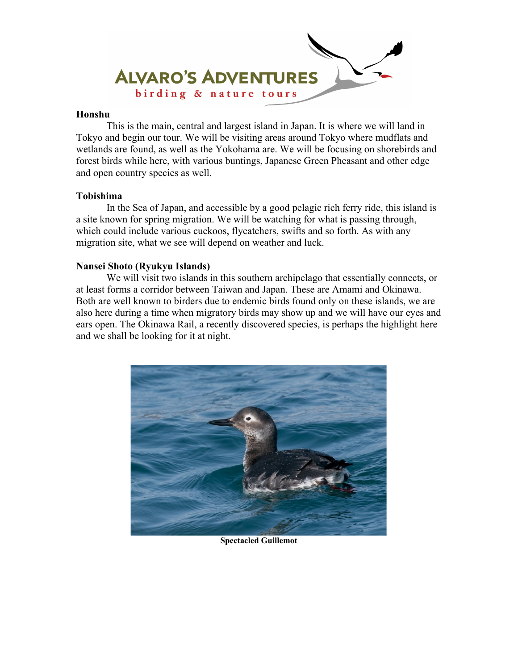

#### **Honshu**

 This is the main, central and largest island in Japan. It is where we will land in Tokyo and begin our tour. We will be visiting areas around Tokyo where mudflats and wetlands are found, as well as the Yokohama are. We will be focusing on shorebirds and forest birds while here, with various buntings, Japanese Green Pheasant and other edge and open country species as well.

#### **Tobishima**

 In the Sea of Japan, and accessible by a good pelagic rich ferry ride, this island is a site known for spring migration. We will be watching for what is passing through, which could include various cuckoos, flycatchers, swifts and so forth. As with any migration site, what we see will depend on weather and luck.

#### **Nansei Shoto (Ryukyu Islands)**

 We will visit two islands in this southern archipelago that essentially connects, or at least forms a corridor between Taiwan and Japan. These are Amami and Okinawa. Both are well known to birders due to endemic birds found only on these islands, we are also here during a time when migratory birds may show up and we will have our eyes and ears open. The Okinawa Rail, a recently discovered species, is perhaps the highlight here and we shall be looking for it at night.



#### **Spectacled Guillemot**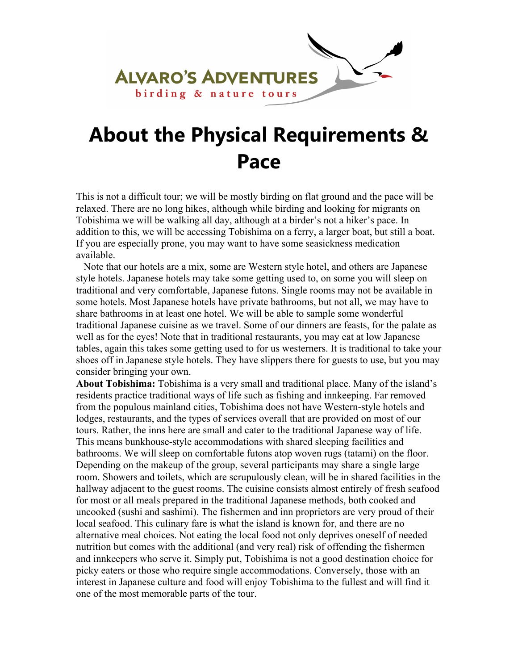

# **About the Physical Requirements & Pace**

This is not a difficult tour; we will be mostly birding on flat ground and the pace will be relaxed. There are no long hikes, although while birding and looking for migrants on Tobishima we will be walking all day, although at a birder's not a hiker's pace. In addition to this, we will be accessing Tobishima on a ferry, a larger boat, but still a boat. If you are especially prone, you may want to have some seasickness medication available.

 Note that our hotels are a mix, some are Western style hotel, and others are Japanese style hotels. Japanese hotels may take some getting used to, on some you will sleep on traditional and very comfortable, Japanese futons. Single rooms may not be available in some hotels. Most Japanese hotels have private bathrooms, but not all, we may have to share bathrooms in at least one hotel. We will be able to sample some wonderful traditional Japanese cuisine as we travel. Some of our dinners are feasts, for the palate as well as for the eyes! Note that in traditional restaurants, you may eat at low Japanese tables, again this takes some getting used to for us westerners. It is traditional to take your shoes off in Japanese style hotels. They have slippers there for guests to use, but you may consider bringing your own.

**About Tobishima:** Tobishima is a very small and traditional place. Many of the island's residents practice traditional ways of life such as fishing and innkeeping. Far removed from the populous mainland cities, Tobishima does not have Western-style hotels and lodges, restaurants, and the types of services overall that are provided on most of our tours. Rather, the inns here are small and cater to the traditional Japanese way of life. This means bunkhouse-style accommodations with shared sleeping facilities and bathrooms. We will sleep on comfortable futons atop woven rugs (tatami) on the floor. Depending on the makeup of the group, several participants may share a single large room. Showers and toilets, which are scrupulously clean, will be in shared facilities in the hallway adjacent to the guest rooms. The cuisine consists almost entirely of fresh seafood for most or all meals prepared in the traditional Japanese methods, both cooked and uncooked (sushi and sashimi). The fishermen and inn proprietors are very proud of their local seafood. This culinary fare is what the island is known for, and there are no alternative meal choices. Not eating the local food not only deprives oneself of needed nutrition but comes with the additional (and very real) risk of offending the fishermen and innkeepers who serve it. Simply put, Tobishima is not a good destination choice for picky eaters or those who require single accommodations. Conversely, those with an interest in Japanese culture and food will enjoy Tobishima to the fullest and will find it one of the most memorable parts of the tour.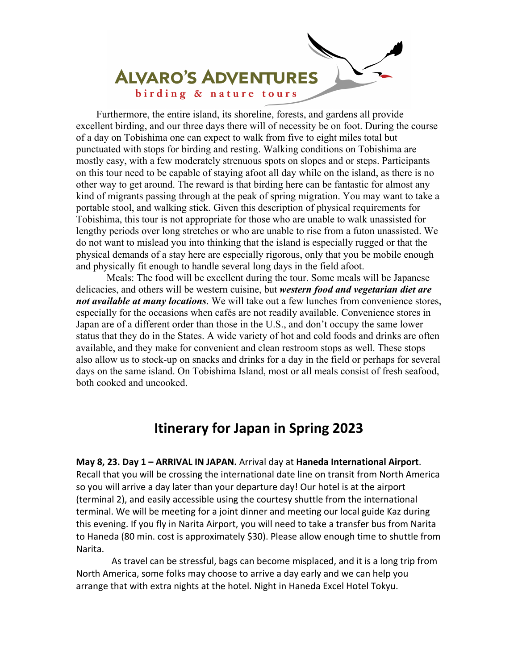

 Furthermore, the entire island, its shoreline, forests, and gardens all provide excellent birding, and our three days there will of necessity be on foot. During the course of a day on Tobishima one can expect to walk from five to eight miles total but punctuated with stops for birding and resting. Walking conditions on Tobishima are mostly easy, with a few moderately strenuous spots on slopes and or steps. Participants on this tour need to be capable of staying afoot all day while on the island, as there is no other way to get around. The reward is that birding here can be fantastic for almost any kind of migrants passing through at the peak of spring migration. You may want to take a portable stool, and walking stick. Given this description of physical requirements for Tobishima, this tour is not appropriate for those who are unable to walk unassisted for lengthy periods over long stretches or who are unable to rise from a futon unassisted. We do not want to mislead you into thinking that the island is especially rugged or that the physical demands of a stay here are especially rigorous, only that you be mobile enough and physically fit enough to handle several long days in the field afoot.

Meals: The food will be excellent during the tour. Some meals will be Japanese delicacies, and others will be western cuisine, but *western food and vegetarian diet are not available at many locations*. We will take out a few lunches from convenience stores, especially for the occasions when cafés are not readily available. Convenience stores in Japan are of a different order than those in the U.S., and don't occupy the same lower status that they do in the States. A wide variety of hot and cold foods and drinks are often available, and they make for convenient and clean restroom stops as well. These stops also allow us to stock-up on snacks and drinks for a day in the field or perhaps for several days on the same island. On Tobishima Island, most or all meals consist of fresh seafood, both cooked and uncooked.

### **Itinerary for Japan in Spring 2023**

**May 8, 23. Day 1 – ARRIVAL IN JAPAN.** Arrival day at **Haneda International Airport**. Recall that you will be crossing the international date line on transit from North America so you will arrive a day later than your departure day! Our hotel is at the airport (terminal 2), and easily accessible using the courtesy shuttle from the international terminal. We will be meeting for a joint dinner and meeting our local guide Kaz during this evening. If you fly in Narita Airport, you will need to take a transfer bus from Narita to Haneda (80 min. cost is approximately \$30). Please allow enough time to shuttle from Narita.

As travel can be stressful, bags can become misplaced, and it is a long trip from North America, some folks may choose to arrive a day early and we can help you arrange that with extra nights at the hotel. Night in Haneda Excel Hotel Tokyu.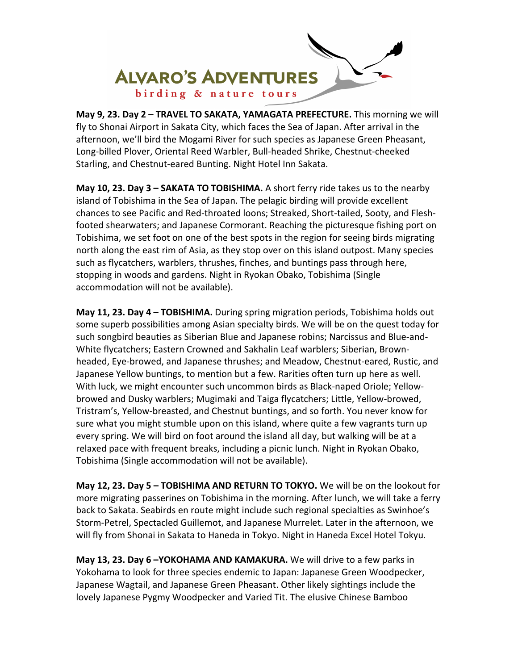

**May 9, 23. Day 2 – TRAVEL TO SAKATA, YAMAGATA PREFECTURE.** This morning we will fly to Shonai Airport in Sakata City, which faces the Sea of Japan. After arrival in the afternoon, we'll bird the Mogami River for such species as Japanese Green Pheasant, Long‐billed Plover, Oriental Reed Warbler, Bull‐headed Shrike, Chestnut‐cheeked Starling, and Chestnut‐eared Bunting. Night Hotel Inn Sakata.

**May 10, 23. Day 3 – SAKATA TO TOBISHIMA.** A short ferry ride takes us to the nearby island of Tobishima in the Sea of Japan. The pelagic birding will provide excellent chances to see Pacific and Red‐throated loons; Streaked, Short‐tailed, Sooty, and Flesh‐ footed shearwaters; and Japanese Cormorant. Reaching the picturesque fishing port on Tobishima, we set foot on one of the best spots in the region for seeing birds migrating north along the east rim of Asia, as they stop over on this island outpost. Many species such as flycatchers, warblers, thrushes, finches, and buntings pass through here, stopping in woods and gardens. Night in Ryokan Obako, Tobishima (Single accommodation will not be available).

**May 11, 23. Day 4 – TOBISHIMA.** During spring migration periods, Tobishima holds out some superb possibilities among Asian specialty birds. We will be on the quest today for such songbird beauties as Siberian Blue and Japanese robins; Narcissus and Blue‐and‐ White flycatchers; Eastern Crowned and Sakhalin Leaf warblers; Siberian, Brown‐ headed, Eye‐browed, and Japanese thrushes; and Meadow, Chestnut‐eared, Rustic, and Japanese Yellow buntings, to mention but a few. Rarities often turn up here as well. With luck, we might encounter such uncommon birds as Black‐naped Oriole; Yellow‐ browed and Dusky warblers; Mugimaki and Taiga flycatchers; Little, Yellow‐browed, Tristram's, Yellow‐breasted, and Chestnut buntings, and so forth. You never know for sure what you might stumble upon on this island, where quite a few vagrants turn up every spring. We will bird on foot around the island all day, but walking will be at a relaxed pace with frequent breaks, including a picnic lunch. Night in Ryokan Obako, Tobishima (Single accommodation will not be available).

**May 12, 23. Day 5 – TOBISHIMA AND RETURN TO TOKYO.** We will be on the lookout for more migrating passerines on Tobishima in the morning. After lunch, we will take a ferry back to Sakata. Seabirds en route might include such regional specialties as Swinhoe's Storm‐Petrel, Spectacled Guillemot, and Japanese Murrelet. Later in the afternoon, we will fly from Shonai in Sakata to Haneda in Tokyo. Night in Haneda Excel Hotel Tokyu.

**May 13, 23. Day 6 –YOKOHAMA AND KAMAKURA.** We will drive to a few parks in Yokohama to look for three species endemic to Japan: Japanese Green Woodpecker, Japanese Wagtail, and Japanese Green Pheasant. Other likely sightings include the lovely Japanese Pygmy Woodpecker and Varied Tit. The elusive Chinese Bamboo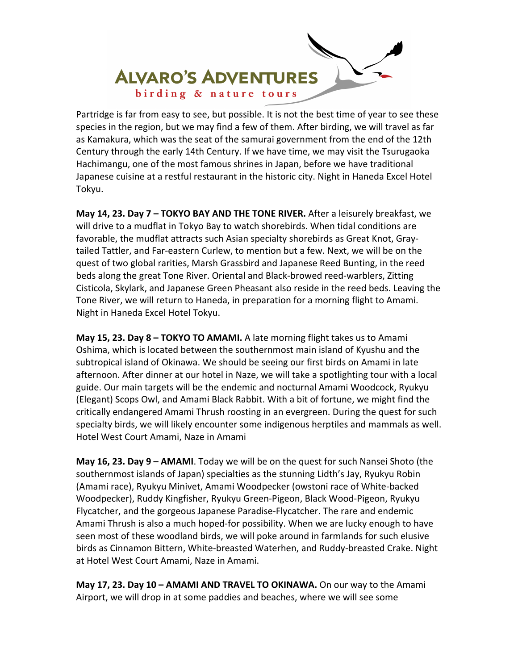

Partridge is far from easy to see, but possible. It is not the best time of year to see these species in the region, but we may find a few of them. After birding, we will travel as far as Kamakura, which was the seat of the samurai government from the end of the 12th Century through the early 14th Century. If we have time, we may visit the Tsurugaoka Hachimangu, one of the most famous shrines in Japan, before we have traditional Japanese cuisine at a restful restaurant in the historic city. Night in Haneda Excel Hotel Tokyu.

**May 14, 23. Day 7 – TOKYO BAY AND THE TONE RIVER.** After a leisurely breakfast, we will drive to a mudflat in Tokyo Bay to watch shorebirds. When tidal conditions are favorable, the mudflat attracts such Asian specialty shorebirds as Great Knot, Gray‐ tailed Tattler, and Far‐eastern Curlew, to mention but a few. Next, we will be on the quest of two global rarities, Marsh Grassbird and Japanese Reed Bunting, in the reed beds along the great Tone River. Oriental and Black‐browed reed‐warblers, Zitting Cisticola, Skylark, and Japanese Green Pheasant also reside in the reed beds. Leaving the Tone River, we will return to Haneda, in preparation for a morning flight to Amami. Night in Haneda Excel Hotel Tokyu.

**May 15, 23. Day 8 – TOKYO TO AMAMI.** A late morning flight takes us to Amami Oshima, which is located between the southernmost main island of Kyushu and the subtropical island of Okinawa. We should be seeing our first birds on Amami in late afternoon. After dinner at our hotel in Naze, we will take a spotlighting tour with a local guide. Our main targets will be the endemic and nocturnal Amami Woodcock, Ryukyu (Elegant) Scops Owl, and Amami Black Rabbit. With a bit of fortune, we might find the critically endangered Amami Thrush roosting in an evergreen. During the quest for such specialty birds, we will likely encounter some indigenous herptiles and mammals as well. Hotel West Court Amami, Naze in Amami

**May 16, 23. Day 9 – AMAMI**. Today we will be on the quest for such Nansei Shoto (the southernmost islands of Japan) specialties as the stunning Lidth's Jay, Ryukyu Robin (Amami race), Ryukyu Minivet, Amami Woodpecker (owstoni race of White‐backed Woodpecker), Ruddy Kingfisher, Ryukyu Green‐Pigeon, Black Wood‐Pigeon, Ryukyu Flycatcher, and the gorgeous Japanese Paradise‐Flycatcher. The rare and endemic Amami Thrush is also a much hoped‐for possibility. When we are lucky enough to have seen most of these woodland birds, we will poke around in farmlands for such elusive birds as Cinnamon Bittern, White‐breasted Waterhen, and Ruddy‐breasted Crake. Night at Hotel West Court Amami, Naze in Amami.

**May 17, 23. Day 10 – AMAMI AND TRAVEL TO OKINAWA.** On our way to the Amami Airport, we will drop in at some paddies and beaches, where we will see some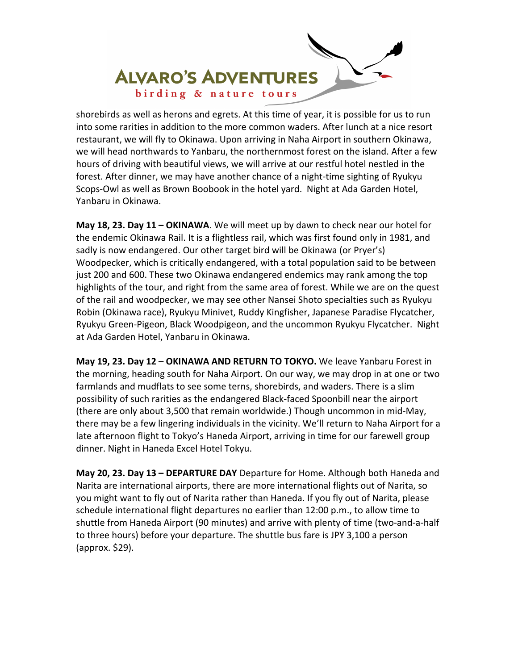

shorebirds as well as herons and egrets. At this time of year, it is possible for us to run into some rarities in addition to the more common waders. After lunch at a nice resort restaurant, we will fly to Okinawa. Upon arriving in Naha Airport in southern Okinawa, we will head northwards to Yanbaru, the northernmost forest on the island. After a few hours of driving with beautiful views, we will arrive at our restful hotel nestled in the forest. After dinner, we may have another chance of a night-time sighting of Ryukyu Scops‐Owl as well as Brown Boobook in the hotel yard. Night at Ada Garden Hotel, Yanbaru in Okinawa.

**May 18, 23. Day 11 – OKINAWA**. We will meet up by dawn to check near our hotel for the endemic Okinawa Rail. It is a flightless rail, which was first found only in 1981, and sadly is now endangered. Our other target bird will be Okinawa (or Pryer's) Woodpecker, which is critically endangered, with a total population said to be between just 200 and 600. These two Okinawa endangered endemics may rank among the top highlights of the tour, and right from the same area of forest. While we are on the quest of the rail and woodpecker, we may see other Nansei Shoto specialties such as Ryukyu Robin (Okinawa race), Ryukyu Minivet, Ruddy Kingfisher, Japanese Paradise Flycatcher, Ryukyu Green‐Pigeon, Black Woodpigeon, and the uncommon Ryukyu Flycatcher. Night at Ada Garden Hotel, Yanbaru in Okinawa.

**May 19, 23. Day 12 – OKINAWA AND RETURN TO TOKYO.** We leave Yanbaru Forest in the morning, heading south for Naha Airport. On our way, we may drop in at one or two farmlands and mudflats to see some terns, shorebirds, and waders. There is a slim possibility of such rarities as the endangered Black‐faced Spoonbill near the airport (there are only about 3,500 that remain worldwide.) Though uncommon in mid‐May, there may be a few lingering individuals in the vicinity. We'll return to Naha Airport for a late afternoon flight to Tokyo's Haneda Airport, arriving in time for our farewell group dinner. Night in Haneda Excel Hotel Tokyu.

**May 20, 23. Day 13 – DEPARTURE DAY** Departure for Home. Although both Haneda and Narita are international airports, there are more international flights out of Narita, so you might want to fly out of Narita rather than Haneda. If you fly out of Narita, please schedule international flight departures no earlier than 12:00 p.m., to allow time to shuttle from Haneda Airport (90 minutes) and arrive with plenty of time (two‐and‐a‐half to three hours) before your departure. The shuttle bus fare is JPY 3,100 a person (approx. \$29).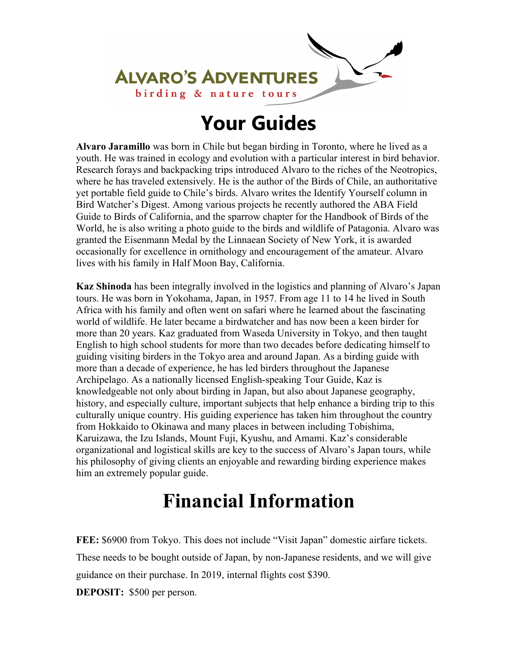

# **Your Guides**

**Alvaro Jaramillo** was born in Chile but began birding in Toronto, where he lived as a youth. He was trained in ecology and evolution with a particular interest in bird behavior. Research forays and backpacking trips introduced Alvaro to the riches of the Neotropics, where he has traveled extensively. He is the author of the Birds of Chile, an authoritative yet portable field guide to Chile's birds. Alvaro writes the Identify Yourself column in Bird Watcher's Digest. Among various projects he recently authored the ABA Field Guide to Birds of California, and the sparrow chapter for the Handbook of Birds of the World, he is also writing a photo guide to the birds and wildlife of Patagonia. Alvaro was granted the Eisenmann Medal by the Linnaean Society of New York, it is awarded occasionally for excellence in ornithology and encouragement of the amateur. Alvaro lives with his family in Half Moon Bay, California.

**Kaz Shinoda** has been integrally involved in the logistics and planning of Alvaro's Japan tours. He was born in Yokohama, Japan, in 1957. From age 11 to 14 he lived in South Africa with his family and often went on safari where he learned about the fascinating world of wildlife. He later became a birdwatcher and has now been a keen birder for more than 20 years. Kaz graduated from Waseda University in Tokyo, and then taught English to high school students for more than two decades before dedicating himself to guiding visiting birders in the Tokyo area and around Japan. As a birding guide with more than a decade of experience, he has led birders throughout the Japanese Archipelago. As a nationally licensed English-speaking Tour Guide, Kaz is knowledgeable not only about birding in Japan, but also about Japanese geography, history, and especially culture, important subjects that help enhance a birding trip to this culturally unique country. His guiding experience has taken him throughout the country from Hokkaido to Okinawa and many places in between including Tobishima, Karuizawa, the Izu Islands, Mount Fuji, Kyushu, and Amami. Kaz's considerable organizational and logistical skills are key to the success of Alvaro's Japan tours, while his philosophy of giving clients an enjoyable and rewarding birding experience makes him an extremely popular guide.

# **Financial Information**

**FEE:** \$6900 from Tokyo. This does not include "Visit Japan" domestic airfare tickets. These needs to be bought outside of Japan, by non-Japanese residents, and we will give guidance on their purchase. In 2019, internal flights cost \$390.

**DEPOSIT:** \$500 per person.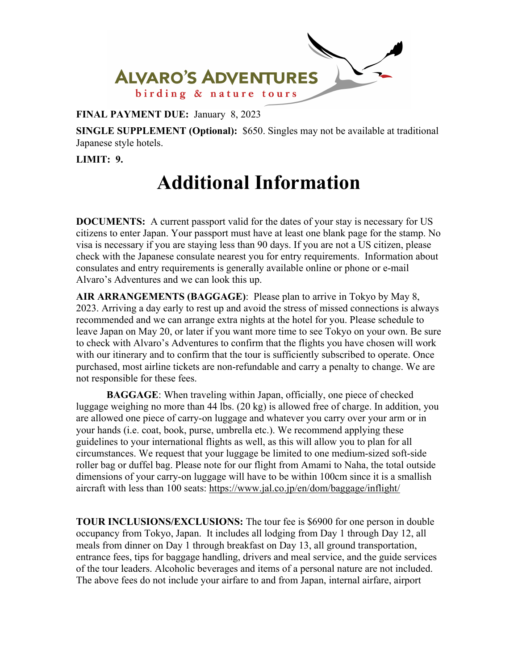

**FINAL PAYMENT DUE:** January 8, 2023

**SINGLE SUPPLEMENT (Optional):** \$650. Singles may not be available at traditional Japanese style hotels.

**LIMIT: 9.** 

# **Additional Information**

**DOCUMENTS:** A current passport valid for the dates of your stay is necessary for US citizens to enter Japan. Your passport must have at least one blank page for the stamp. No visa is necessary if you are staying less than 90 days. If you are not a US citizen, please check with the Japanese consulate nearest you for entry requirements. Information about consulates and entry requirements is generally available online or phone or e-mail Alvaro's Adventures and we can look this up.

**AIR ARRANGEMENTS (BAGGAGE)**: Please plan to arrive in Tokyo by May 8, 2023. Arriving a day early to rest up and avoid the stress of missed connections is always recommended and we can arrange extra nights at the hotel for you. Please schedule to leave Japan on May 20, or later if you want more time to see Tokyo on your own. Be sure to check with Alvaro's Adventures to confirm that the flights you have chosen will work with our itinerary and to confirm that the tour is sufficiently subscribed to operate. Once purchased, most airline tickets are non-refundable and carry a penalty to change. We are not responsible for these fees.

**BAGGAGE**: When traveling within Japan, officially, one piece of checked luggage weighing no more than 44 lbs. (20 kg) is allowed free of charge. In addition, you are allowed one piece of carry-on luggage and whatever you carry over your arm or in your hands (i.e. coat, book, purse, umbrella etc.). We recommend applying these guidelines to your international flights as well, as this will allow you to plan for all circumstances. We request that your luggage be limited to one medium-sized soft-side roller bag or duffel bag. Please note for our flight from Amami to Naha, the total outside dimensions of your carry-on luggage will have to be within 100cm since it is a smallish aircraft with less than 100 seats: https://www.jal.co.jp/en/dom/baggage/inflight/

**TOUR INCLUSIONS/EXCLUSIONS:** The tour fee is \$6900 for one person in double occupancy from Tokyo, Japan. It includes all lodging from Day 1 through Day 12, all meals from dinner on Day 1 through breakfast on Day 13, all ground transportation, entrance fees, tips for baggage handling, drivers and meal service, and the guide services of the tour leaders. Alcoholic beverages and items of a personal nature are not included. The above fees do not include your airfare to and from Japan, internal airfare, airport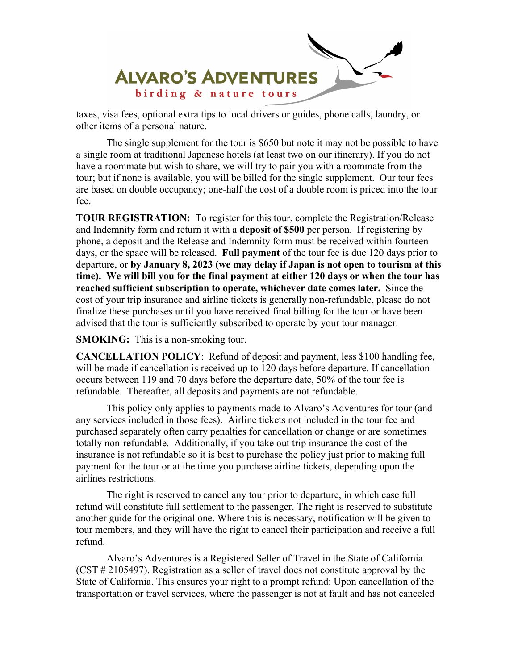

taxes, visa fees, optional extra tips to local drivers or guides, phone calls, laundry, or other items of a personal nature.

The single supplement for the tour is \$650 but note it may not be possible to have a single room at traditional Japanese hotels (at least two on our itinerary). If you do not have a roommate but wish to share, we will try to pair you with a roommate from the tour; but if none is available, you will be billed for the single supplement. Our tour fees are based on double occupancy; one-half the cost of a double room is priced into the tour fee.

**TOUR REGISTRATION:** To register for this tour, complete the Registration/Release and Indemnity form and return it with a **deposit of \$500** per person. If registering by phone, a deposit and the Release and Indemnity form must be received within fourteen days, or the space will be released. **Full payment** of the tour fee is due 120 days prior to departure, or **by January 8, 2023 (we may delay if Japan is not open to tourism at this time). We will bill you for the final payment at either 120 days or when the tour has reached sufficient subscription to operate, whichever date comes later.** Since the cost of your trip insurance and airline tickets is generally non-refundable, please do not finalize these purchases until you have received final billing for the tour or have been advised that the tour is sufficiently subscribed to operate by your tour manager.

**SMOKING:** This is a non-smoking tour.

**CANCELLATION POLICY**: Refund of deposit and payment, less \$100 handling fee, will be made if cancellation is received up to 120 days before departure. If cancellation occurs between 119 and 70 days before the departure date, 50% of the tour fee is refundable. Thereafter, all deposits and payments are not refundable.

 This policy only applies to payments made to Alvaro's Adventures for tour (and any services included in those fees). Airline tickets not included in the tour fee and purchased separately often carry penalties for cancellation or change or are sometimes totally non-refundable. Additionally, if you take out trip insurance the cost of the insurance is not refundable so it is best to purchase the policy just prior to making full payment for the tour or at the time you purchase airline tickets, depending upon the airlines restrictions.

 The right is reserved to cancel any tour prior to departure, in which case full refund will constitute full settlement to the passenger. The right is reserved to substitute another guide for the original one. Where this is necessary, notification will be given to tour members, and they will have the right to cancel their participation and receive a full refund.

Alvaro's Adventures is a Registered Seller of Travel in the State of California (CST # 2105497). Registration as a seller of travel does not constitute approval by the State of California. This ensures your right to a prompt refund: Upon cancellation of the transportation or travel services, where the passenger is not at fault and has not canceled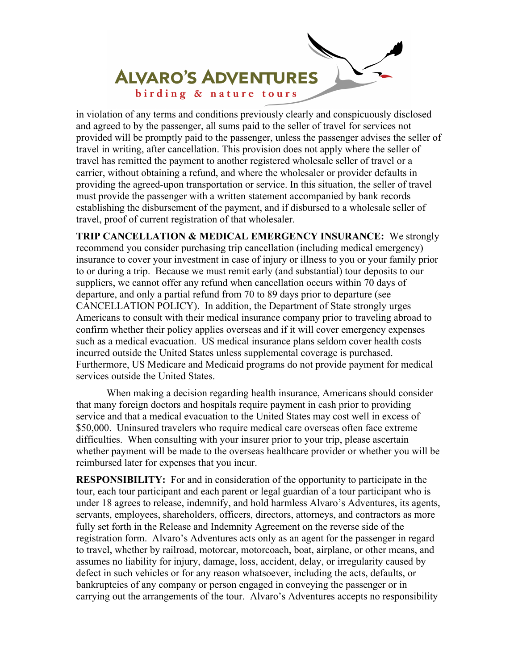

in violation of any terms and conditions previously clearly and conspicuously disclosed and agreed to by the passenger, all sums paid to the seller of travel for services not provided will be promptly paid to the passenger, unless the passenger advises the seller of travel in writing, after cancellation. This provision does not apply where the seller of travel has remitted the payment to another registered wholesale seller of travel or a carrier, without obtaining a refund, and where the wholesaler or provider defaults in providing the agreed-upon transportation or service. In this situation, the seller of travel must provide the passenger with a written statement accompanied by bank records establishing the disbursement of the payment, and if disbursed to a wholesale seller of travel, proof of current registration of that wholesaler.

**TRIP CANCELLATION & MEDICAL EMERGENCY INSURANCE:** We strongly recommend you consider purchasing trip cancellation (including medical emergency) insurance to cover your investment in case of injury or illness to you or your family prior to or during a trip. Because we must remit early (and substantial) tour deposits to our suppliers, we cannot offer any refund when cancellation occurs within 70 days of departure, and only a partial refund from 70 to 89 days prior to departure (see CANCELLATION POLICY). In addition, the Department of State strongly urges Americans to consult with their medical insurance company prior to traveling abroad to confirm whether their policy applies overseas and if it will cover emergency expenses such as a medical evacuation. US medical insurance plans seldom cover health costs incurred outside the United States unless supplemental coverage is purchased. Furthermore, US Medicare and Medicaid programs do not provide payment for medical services outside the United States.

 When making a decision regarding health insurance, Americans should consider that many foreign doctors and hospitals require payment in cash prior to providing service and that a medical evacuation to the United States may cost well in excess of \$50,000. Uninsured travelers who require medical care overseas often face extreme difficulties. When consulting with your insurer prior to your trip, please ascertain whether payment will be made to the overseas healthcare provider or whether you will be reimbursed later for expenses that you incur.

**RESPONSIBILITY:** For and in consideration of the opportunity to participate in the tour, each tour participant and each parent or legal guardian of a tour participant who is under 18 agrees to release, indemnify, and hold harmless Alvaro's Adventures, its agents, servants, employees, shareholders, officers, directors, attorneys, and contractors as more fully set forth in the Release and Indemnity Agreement on the reverse side of the registration form. Alvaro's Adventures acts only as an agent for the passenger in regard to travel, whether by railroad, motorcar, motorcoach, boat, airplane, or other means, and assumes no liability for injury, damage, loss, accident, delay, or irregularity caused by defect in such vehicles or for any reason whatsoever, including the acts, defaults, or bankruptcies of any company or person engaged in conveying the passenger or in carrying out the arrangements of the tour. Alvaro's Adventures accepts no responsibility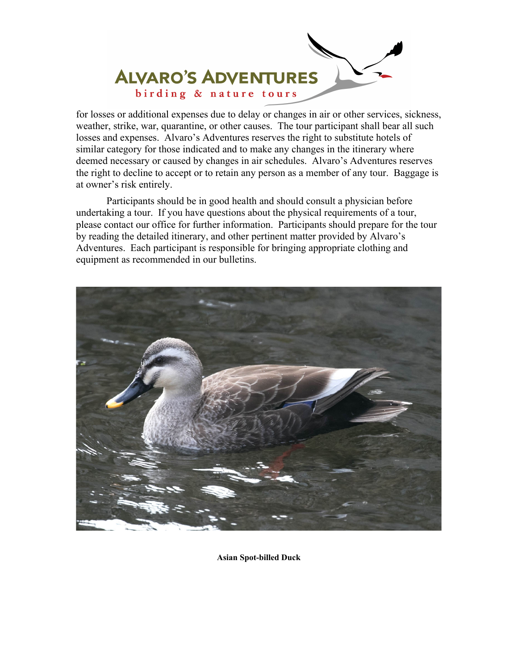

for losses or additional expenses due to delay or changes in air or other services, sickness, weather, strike, war, quarantine, or other causes. The tour participant shall bear all such losses and expenses. Alvaro's Adventures reserves the right to substitute hotels of similar category for those indicated and to make any changes in the itinerary where deemed necessary or caused by changes in air schedules. Alvaro's Adventures reserves the right to decline to accept or to retain any person as a member of any tour. Baggage is at owner's risk entirely.

 Participants should be in good health and should consult a physician before undertaking a tour. If you have questions about the physical requirements of a tour, please contact our office for further information. Participants should prepare for the tour by reading the detailed itinerary, and other pertinent matter provided by Alvaro's Adventures. Each participant is responsible for bringing appropriate clothing and equipment as recommended in our bulletins.



**Asian Spot-billed Duck**